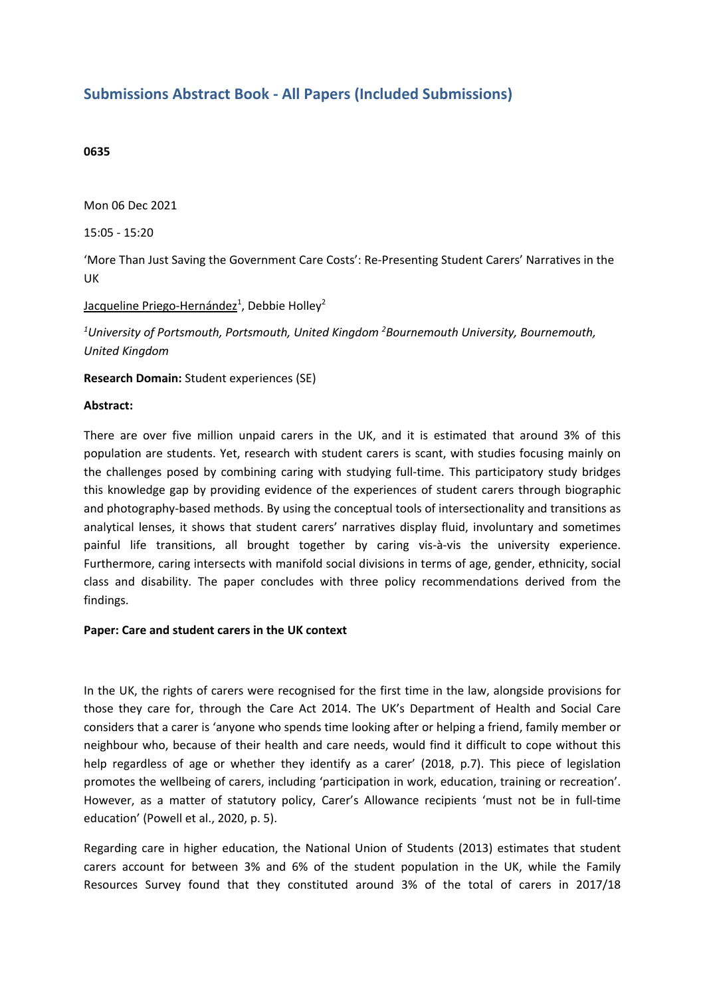# **Submissions Abstract Book - All Papers (Included Submissions)**

### **0635**

Mon 06 Dec 2021

15:05 - 15:20

'More Than Just Saving the Government Care Costs': Re-Presenting Student Carers' Narratives in the UK

# Jacqueline Priego-Hernández<sup>1</sup>, Debbie Holley<sup>2</sup>

*1 University of Portsmouth, Portsmouth, United Kingdom <sup>2</sup> Bournemouth University, Bournemouth, United Kingdom*

**Research Domain:** Student experiences (SE)

#### **Abstract:**

There are over five million unpaid carers in the UK, and it is estimated that around 3% of this population are students. Yet, research with student carers is scant, with studies focusing mainly on the challenges posed by combining caring with studying full-time. This participatory study bridges this knowledge gap by providing evidence of the experiences of student carers through biographic and photography-based methods. By using the conceptual tools of intersectionality and transitions as analytical lenses, it shows that student carers' narratives display fluid, involuntary and sometimes painful life transitions, all brought together by caring vis-à-vis the university experience. Furthermore, caring intersects with manifold social divisions in terms of age, gender, ethnicity, social class and disability. The paper concludes with three policy recommendations derived from the findings.

#### **Paper: Care and student carers in the UK context**

In the UK, the rights of carers were recognised for the first time in the law, alongside provisions for those they care for, through the Care Act 2014. The UK's Department of Health and Social Care considers that <sup>a</sup> carer is 'anyone who spends time looking after or helping <sup>a</sup> friend, family member or neighbour who, because of their health and care needs, would find it difficult to cope without this help regardless of age or whether they identify as a carer' (2018, p.7). This piece of legislation promotes the wellbeing of carers, including 'participation in work, education, training or recreation'. However, as <sup>a</sup> matter of statutory policy, Carer's Allowance recipients 'must not be in full-time education' (Powell et al., 2020, p. 5).

Regarding care in higher education, the National Union of Students (2013) estimates that student carers account for between 3% and 6% of the student population in the UK, while the Family Resources Survey found that they constituted around 3% of the total of carers in 2017/18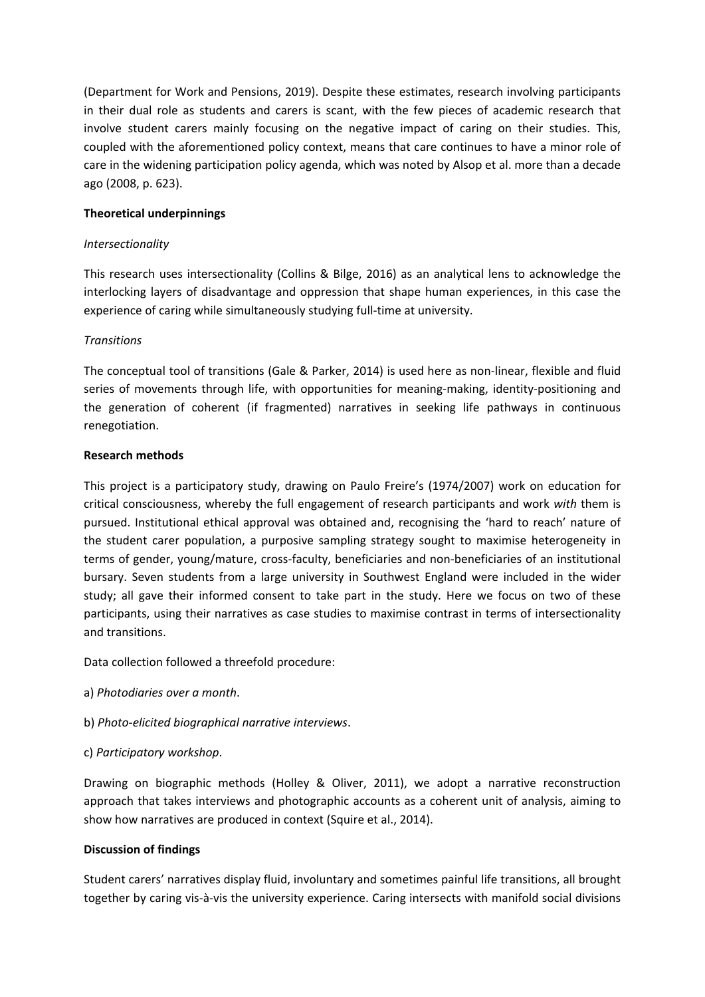(Department for Work and Pensions, 2019). Despite these estimates, research involving participants in their dual role as students and carers is scant, with the few pieces of academic research that involve student carers mainly focusing on the negative impact of caring on their studies. This, coupled with the aforementioned policy context, means that care continues to have <sup>a</sup> minor role of care in the widening participation policy agenda, which was noted by Alsop et al. more than <sup>a</sup> decade ago (2008, p. 623).

# **Theoretical underpinnings**

# *Intersectionality*

This research uses intersectionality (Collins & Bilge, 2016) as an analytical lens to acknowledge the interlocking layers of disadvantage and oppression that shape human experiences, in this case the experience of caring while simultaneously studying full-time at university.

# *Transitions*

The conceptual tool of transitions (Gale & Parker, 2014) is used here as non-linear, flexible and fluid series of movements through life, with opportunities for meaning-making, identity-positioning and the generation of coherent (if fragmented) narratives in seeking life pathways in continuous renegotiation.

# **Research methods**

This project is <sup>a</sup> participatory study, drawing on Paulo Freire's (1974/2007) work on education for critical consciousness, whereby the full engagement of research participants and work *with* them is pursued. Institutional ethical approval was obtained and, recognising the 'hard to reach' nature of the student carer population, <sup>a</sup> purposive sampling strategy sought to maximise heterogeneity in terms of gender, young/mature, cross-faculty, beneficiaries and non-beneficiaries of an institutional bursary. Seven students from <sup>a</sup> large university in Southwest England were included in the wider study; all gave their informed consent to take part in the study. Here we focus on two of these participants, using their narratives as case studies to maximise contrast in terms of intersectionality and transitions.

Data collection followed <sup>a</sup> threefold procedure:

- a) *Photodiaries over <sup>a</sup> month*.
- b) *Photo-elicited biographical narrative interviews*.
- c) *Participatory workshop*.

Drawing on biographic methods (Holley & Oliver, 2011), we adopt <sup>a</sup> narrative reconstruction approach that takes interviews and photographic accounts as <sup>a</sup> coherent unit of analysis, aiming to show how narratives are produced in context (Squire et al., 2014).

# **Discussion of findings**

Student carers' narratives display fluid, involuntary and sometimes painful life transitions, all brought together by caring vis-à-vis the university experience. Caring intersects with manifold social divisions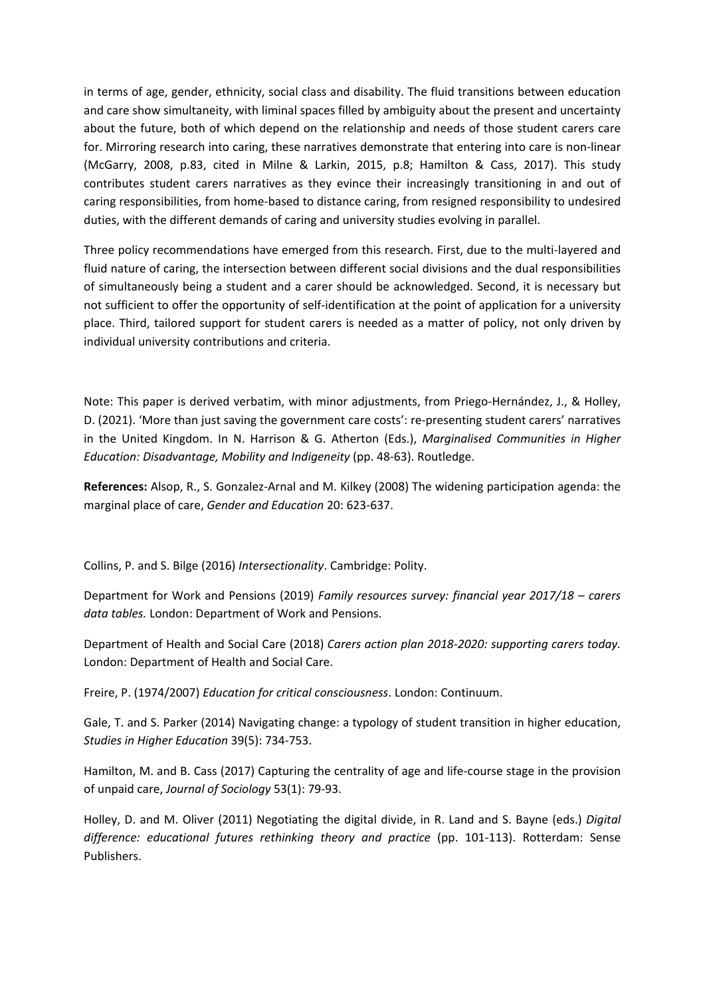in terms of age, gender, ethnicity, social class and disability. The fluid transitions between education and care show simultaneity, with liminal spaces filled by ambiguity about the present and uncertainty about the future, both of which depend on the relationship and needs of those student carers care for. Mirroring research into caring, these narratives demonstrate that entering into care is non-linear (McGarry, 2008, p.83, cited in Milne & Larkin, 2015, p.8; Hamilton & Cass, 2017). This study contributes student carers narratives as they evince their increasingly transitioning in and out of caring responsibilities, from home-based to distance caring, from resigned responsibility to undesired duties, with the different demands of caring and university studies evolving in parallel.

Three policy recommendations have emerged from this research. First, due to the multi-layered and fluid nature of caring, the intersection between different social divisions and the dual responsibilities of simultaneously being <sup>a</sup> student and <sup>a</sup> carer should be acknowledged. Second, it is necessary but not sufficient to offer the opportunity of self-identification at the point of application for <sup>a</sup> university place. Third, tailored support for student carers is needed as <sup>a</sup> matter of policy, not only driven by individual university contributions and criteria.

Note: This paper is derived verbatim, with minor adjustments, from Priego-Hernández, J., & Holley, D. (2021). 'More than just saving the government care costs': re-presenting student carers' narratives in the United Kingdom. In N. Harrison & G. Atherton (Eds.), *Marginalised Communities in Higher Education: Disadvantage, Mobility and Indigeneity* (pp. 48-63). Routledge.

**References:** Alsop, R., S. Gonzalez‐Arnal and M. Kilkey (2008) The widening participation agenda: the marginal place of care, *Gender and Education* 20: 623-637.

Collins, P. and S. Bilge (2016) *Intersectionality*. Cambridge: Polity.

Department for Work and Pensions (2019) *Family resources survey: financial year 2017/18 – carers data tables.* London: Department of Work and Pensions.

Department of Health and Social Care (2018) *Carers action plan 2018-2020: supporting carers today.* London: Department of Health and Social Care.

Freire, P. (1974/2007) *Education for critical consciousness*. London: Continuum.

Gale, T. and S. Parker (2014) Navigating change: <sup>a</sup> typology of student transition in higher education, *Studies in Higher Education* 39(5): 734-753.

Hamilton, M. and B. Cass (2017) Capturing the centrality of age and life-course stage in the provision of unpaid care, *Journal of Sociology* 53(1): 79-93.

Holley, D. and M. Oliver (2011) Negotiating the digital divide, in R. Land and S. Bayne (eds.) *Digital difference: educational futures rethinking theory and practice* (pp. 101-113). Rotterdam: Sense Publishers.